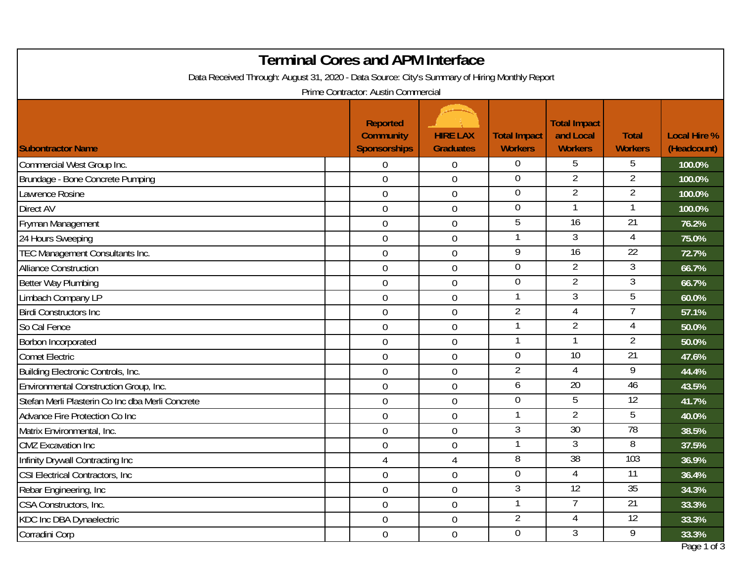| <b>Terminal Cores and APM Interface</b>                                                       |                                                            |                                     |                                       |                                                    |                                |                                    |  |  |
|-----------------------------------------------------------------------------------------------|------------------------------------------------------------|-------------------------------------|---------------------------------------|----------------------------------------------------|--------------------------------|------------------------------------|--|--|
| Data Received Through: August 31, 2020 - Data Source: City's Summary of Hiring Monthly Report |                                                            |                                     |                                       |                                                    |                                |                                    |  |  |
| Prime Contractor: Austin Commercial                                                           |                                                            |                                     |                                       |                                                    |                                |                                    |  |  |
| <b>Subontractor Name</b>                                                                      | <b>Reported</b><br><b>Community</b><br><b>Sponsorships</b> | <b>HIRE LAX</b><br><b>Graduates</b> | <b>Total Impact</b><br><b>Workers</b> | <b>Total Impact</b><br>and Local<br><b>Workers</b> | <b>Total</b><br><b>Workers</b> | <b>Local Hire %</b><br>(Headcount) |  |  |
| Commercial West Group Inc.                                                                    | $\overline{0}$                                             | 0                                   | $\overline{0}$                        | 5                                                  | 5                              | 100.0%                             |  |  |
| Brundage - Bone Concrete Pumping                                                              | $\overline{0}$                                             | $\mathbf 0$                         | $\overline{0}$                        | 2                                                  | 2                              | 100.0%                             |  |  |
| Lawrence Rosine                                                                               | $\overline{0}$                                             | $\boldsymbol{0}$                    | $\mathbf 0$                           | $\overline{2}$                                     | 2                              | 100.0%                             |  |  |
| <b>Direct AV</b>                                                                              | $\overline{0}$                                             | 0                                   | $\mathbf 0$                           |                                                    |                                | 100.0%                             |  |  |
| Fryman Management                                                                             | $\overline{0}$                                             | $\mathbf 0$                         | 5                                     | 16                                                 | $\overline{21}$                | 76.2%                              |  |  |
| 24 Hours Sweeping                                                                             | $\overline{0}$                                             | 0                                   | -1                                    | 3                                                  | 4                              | 75.0%                              |  |  |
| TEC Management Consultants Inc.                                                               | $\overline{0}$                                             | $\mathbf 0$                         | 9                                     | $\overline{16}$                                    | $\overline{22}$                | 72.7%                              |  |  |
| <b>Alliance Construction</b>                                                                  | $\overline{0}$                                             | $\boldsymbol{0}$                    | $\overline{0}$                        | $\overline{2}$                                     | 3                              | 66.7%                              |  |  |
| Better Way Plumbing                                                                           | $\boldsymbol{0}$                                           | $\boldsymbol{0}$                    | $\overline{0}$                        | $\overline{2}$                                     | $\mathfrak{Z}$                 | 66.7%                              |  |  |
| Limbach Company LP                                                                            | $\mathbf{0}$                                               | $\mathbf 0$                         | $\mathbf{1}$                          | 3                                                  | 5                              | 60.0%                              |  |  |
| <b>Birdi Constructors Inc.</b>                                                                | $\overline{0}$                                             | $\boldsymbol{0}$                    | $\overline{2}$                        | 4                                                  |                                | 57.1%                              |  |  |
| So Cal Fence                                                                                  | $\overline{0}$                                             | 0                                   | $\mathbf{1}$                          | $\overline{2}$                                     | 4                              | 50.0%                              |  |  |
| Borbon Incorporated                                                                           | $\overline{0}$                                             | $\mathbf 0$                         | $\mathbf 1$                           | 1                                                  | $\overline{2}$                 | 50.0%                              |  |  |
| <b>Comet Electric</b>                                                                         | $\mathbf 0$                                                | 0                                   | $\overline{0}$                        | $\overline{10}$                                    | $\overline{21}$                | 47.6%                              |  |  |
| Building Electronic Controls, Inc.                                                            | $\overline{0}$                                             | $\boldsymbol{0}$                    | $\overline{2}$                        | 4                                                  | 9                              | 44.4%                              |  |  |
| Environmental Construction Group, Inc.                                                        | $\mathbf 0$                                                | 0                                   | 6                                     | $\overline{20}$                                    | 46                             | 43.5%                              |  |  |
| Stefan Merli Plasterin Co Inc dba Merli Concrete                                              | $\overline{0}$                                             | $\mathbf 0$                         | $\overline{0}$                        | 5                                                  | 12                             | 41.7%                              |  |  |
| Advance Fire Protection Co Inc                                                                | $\mathbf 0$                                                | 0                                   | -1                                    | $\overline{2}$                                     | 5                              | 40.0%                              |  |  |
| Matrix Environmental, Inc.                                                                    | $\boldsymbol{0}$                                           | $\boldsymbol{0}$                    | 3                                     | 30                                                 | 78                             | 38.5%                              |  |  |
| <b>CMZ</b> Excavation Inc                                                                     | $\mathbf 0$                                                | 0                                   | $\mathbf{1}$                          | 3                                                  | 8                              | 37.5%                              |  |  |
| Infinity Drywall Contracting Inc                                                              | 4                                                          | 4                                   | 8                                     | 38                                                 | 103                            | 36.9%                              |  |  |
| CSI Electrical Contractors, Inc.                                                              | $\mathbf 0$                                                | $\boldsymbol{0}$                    | $\overline{0}$                        | 4                                                  | 11                             | 36.4%                              |  |  |
| Rebar Engineering, Inc                                                                        | $\overline{0}$                                             | $\boldsymbol{0}$                    | 3                                     | $\overline{12}$                                    | 35                             | 34.3%                              |  |  |
| CSA Constructors, Inc.                                                                        | $\overline{0}$                                             | $\boldsymbol{0}$                    | $\overline{1}$                        | $\overline{7}$                                     | 21                             | 33.3%                              |  |  |
| <b>KDC Inc DBA Dynaelectric</b>                                                               | $\overline{0}$                                             | $\boldsymbol{0}$                    | $\overline{2}$                        | $\overline{4}$                                     | $\overline{12}$                | 33.3%                              |  |  |
| Corradini Corp                                                                                | $\overline{0}$                                             | $\boldsymbol{0}$                    | $\overline{0}$                        | 3                                                  | 9                              | 33.3%                              |  |  |
|                                                                                               |                                                            |                                     |                                       |                                                    |                                | Page 1 of 3                        |  |  |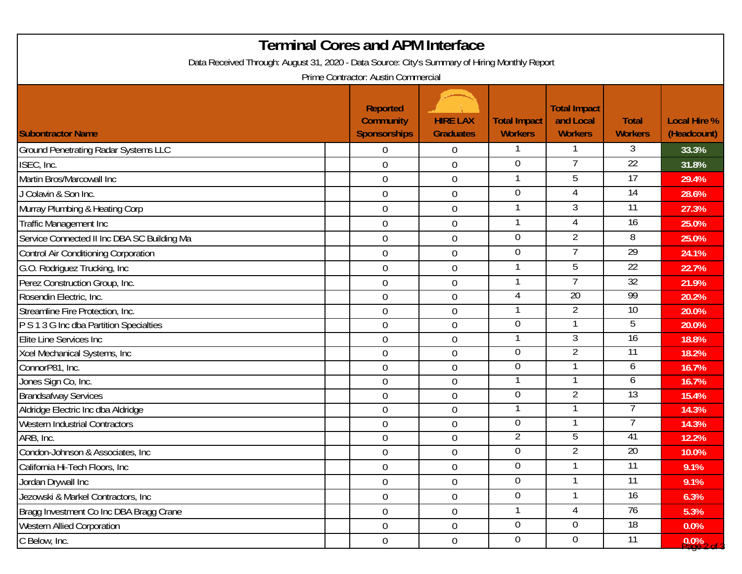| <b>Terminal Cores and APM Interface</b>                                                       |                                                            |                                     |                                       |                                                    |                                |                                    |  |  |
|-----------------------------------------------------------------------------------------------|------------------------------------------------------------|-------------------------------------|---------------------------------------|----------------------------------------------------|--------------------------------|------------------------------------|--|--|
| Data Received Through: August 31, 2020 - Data Source: City's Summary of Hiring Monthly Report |                                                            |                                     |                                       |                                                    |                                |                                    |  |  |
| Prime Contractor: Austin Commercial                                                           |                                                            |                                     |                                       |                                                    |                                |                                    |  |  |
| <b>Subontractor Name</b>                                                                      | <b>Reported</b><br><b>Community</b><br><b>Sponsorships</b> | <b>HIRE LAX</b><br><b>Graduates</b> | <b>Total Impact</b><br><b>Workers</b> | <b>Total Impact</b><br>and Local<br><b>Workers</b> | <b>Total</b><br><b>Workers</b> | <b>Local Hire %</b><br>(Headcount) |  |  |
| <b>Ground Penetrating Radar Systems LLC</b>                                                   | $\mathbf 0$                                                | 0                                   | $\mathbf{1}$                          |                                                    | 3                              | 33.3%                              |  |  |
| ISEC, Inc.                                                                                    | 0                                                          | $\boldsymbol{0}$                    | 0                                     |                                                    | 22                             | 31.8%                              |  |  |
| Martin Bros/Marcowall Inc                                                                     | $\mathbf 0$                                                | $\overline{0}$                      | 1                                     | $\overline{5}$                                     | 17                             | 29.4%                              |  |  |
| J Colavin & Son Inc.                                                                          | $\mathbf 0$                                                | 0                                   | $\mathbf 0$                           | 4                                                  | $\overline{14}$                | 28.6%                              |  |  |
| Murray Plumbing & Heating Corp                                                                | $\mathbf 0$                                                | 0                                   | 1                                     | 3                                                  | 11                             | 27.3%                              |  |  |
| Traffic Management Inc                                                                        | $\overline{0}$                                             | $\boldsymbol{0}$                    | $\mathbf{1}$                          | 4                                                  | 16                             | 25.0%                              |  |  |
| Service Connected II Inc DBA SC Building Ma                                                   | $\overline{0}$                                             | $\boldsymbol{0}$                    | $\overline{0}$                        | $\overline{2}$                                     | 8                              | 25.0%                              |  |  |
| <b>Control Air Conditioning Corporation</b>                                                   | $\mathbf 0$                                                | $\mathbf 0$                         | $\overline{0}$                        | $\overline{7}$                                     | $\overline{29}$                | 24.1%                              |  |  |
| G.O. Rodriguez Trucking, Inc                                                                  | $\overline{0}$                                             | $\mathbf 0$                         | 1                                     | 5                                                  | 22                             | 22.7%                              |  |  |
| Perez Construction Group, Inc.                                                                | $\mathbf 0$                                                | $\boldsymbol{0}$                    | 1                                     |                                                    | $\overline{32}$                | 21.9%                              |  |  |
| Rosendin Electric, Inc.                                                                       | $\mathbf 0$                                                | $\boldsymbol{0}$                    | 4                                     | 20                                                 | 99                             | 20.2%                              |  |  |
| Streamline Fire Protection, Inc.                                                              | $\boldsymbol{0}$                                           | $\boldsymbol{0}$                    |                                       | 2                                                  | 10                             | 20.0%                              |  |  |
| P S 1 3 G Inc dba Partition Specialties                                                       | $\boldsymbol{0}$                                           | 0                                   | 0                                     |                                                    | 5                              | 20.0%                              |  |  |
| Elite Line Services Inc                                                                       | $\boldsymbol{0}$                                           | $\boldsymbol{0}$                    |                                       | 3                                                  | 16                             | 18.8%                              |  |  |
| Xcel Mechanical Systems, Inc                                                                  | 0                                                          | $\mathbf 0$                         | $\overline{0}$                        | $\overline{2}$                                     | 11                             | 18.2%                              |  |  |
| ConnorP81, Inc.                                                                               | $\overline{0}$                                             | $\boldsymbol{0}$                    | 0                                     |                                                    | 6                              | 16.7%                              |  |  |
| Jones Sign Co, Inc.                                                                           | $\boldsymbol{0}$                                           | $\boldsymbol{0}$                    |                                       |                                                    | 6                              | 16.7%                              |  |  |
| <b>Brandsafway Services</b>                                                                   | $\boldsymbol{0}$                                           | $\boldsymbol{0}$                    | $\overline{0}$                        | 2                                                  | 13                             | 15.4%                              |  |  |
| Aldridge Electric Inc dba Aldridge                                                            | $\mathbf 0$                                                | 0                                   |                                       |                                                    |                                | 14.3%                              |  |  |
| <b>Western Industrial Contractors</b>                                                         | $\mathbf 0$                                                | 0                                   | $\overline{0}$                        |                                                    |                                | 14.3%                              |  |  |
| ARB, Inc.                                                                                     | $\boldsymbol{0}$                                           | 0                                   | $\overline{2}$                        | 5                                                  | 41                             | 12.2%                              |  |  |
| Condon-Johnson & Associates, Inc                                                              | $\overline{0}$                                             | $\boldsymbol{0}$                    | $\Omega$                              | າ                                                  | 20                             | 10.0%                              |  |  |
| California Hi-Tech Floors, Inc.                                                               | $\overline{0}$                                             | $\mathbf 0$                         | $\overline{0}$                        |                                                    | $\overline{11}$                | 9.1%                               |  |  |
| Jordan Drywall Inc                                                                            | $\overline{0}$                                             | $\overline{0}$                      | $\overline{0}$                        |                                                    | $\overline{11}$                | 9.1%                               |  |  |
| Jezowski & Markel Contractors, Inc                                                            | $\overline{0}$                                             | $\boldsymbol{0}$                    | 0                                     |                                                    | 16                             | 6.3%                               |  |  |
| Bragg Investment Co Inc DBA Bragg Crane                                                       | $\overline{0}$                                             | $\boldsymbol{0}$                    | 1                                     | 4                                                  | 76                             | 5.3%                               |  |  |
| <b>Western Allied Corporation</b>                                                             | $\overline{0}$                                             | $\overline{0}$                      | $\overline{0}$                        | $\overline{0}$                                     | $\overline{18}$                | $0.0\%$                            |  |  |
| C Below, Inc.                                                                                 | $\mathbf 0$                                                | $\boldsymbol{0}$                    | $\overline{0}$                        | $\overline{0}$                                     | $\overline{11}$                | $9.0\%$ 2 of $\cdot$               |  |  |